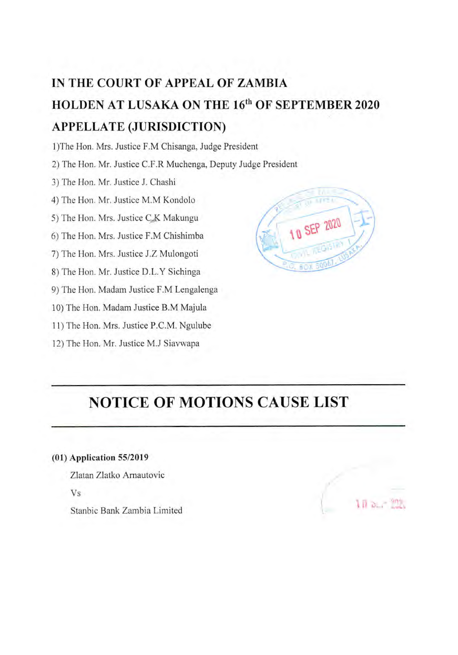# **IN THE COURT OF APPEAL OF ZAMBIA HOLDEN AT LUSAKA ON THE** 16" **OF SEPTEMBER** <sup>2020</sup> **APPELLATE (JURISDICTION)**

1)The Hon. Mrs. Justice F.M Chisanga, Judge President

2) The Hon. Mr. Justice C.F.R Muchenga, Deputy Judge President

3) The Hon. Mr. Justice J. Chashi

4) The Hon. Mr. Justice M.M Kondolo

5) The Hon. Mrs. Justice C.K Makungu

6) The Hon. Mrs. Justice F.M Chishimba

7) The Hon. Mrs. Justice J.Z Mulongoti

8) The Hon. Mr. Justice D.L.Y Sichinga

9) The Hon. Madam Justice F.M Lengalenga

10) The Hon. Madam Justice B.M Majula

11) The Hon. Mrs. Justice P.C.M. Ngulube

12) The Hon. Mr. Justice M.J Siavwapa



## **NOTICE OF MOTIONS CAUSE LIST**

## **(01)** Application *55/2019*

Ziatan Zlatko Arnautovic Vs Stanbic Bank Zambia Limited

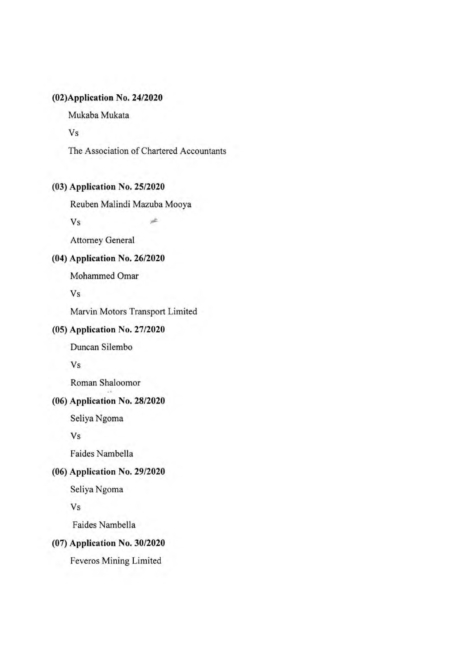## **(02)Application** No. 24/2020

Mukaba Mukata

Vs

The Association of Chartered Accountants

à

## **(3) Application No. 25/2020**

Reuben Malindi Mazuba Mooya

Vs

Attorney General

## (4) Application No. 26/2020

Mohammed Omar

Vs

Marvin Motors Transport Limited

## (5) Application No. 27/2020

Duncan Silembo

Vs

Roman Shaloomor

## (6) Application No. 28/2020

Seliya Ngoma

Vs

Faides Nambella

## (06) Application No. 29/2020

Seliya Ngoma

Vs

Faides Nambella

#### (7) Application No. 30/2020

Feveros Mining Limited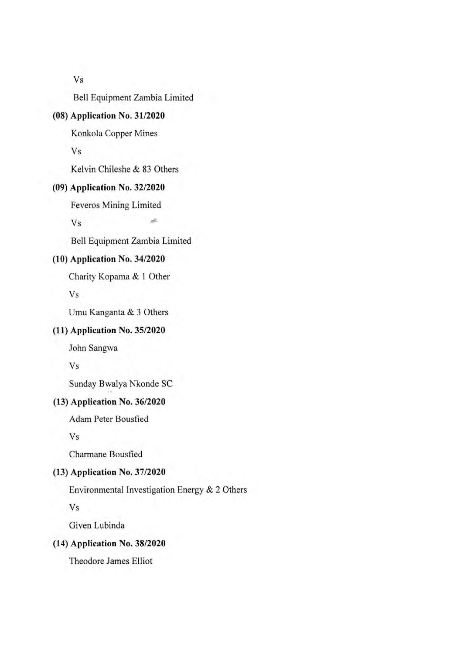Vs

Bell Equipment Zambia Limited

## **(8) Application No. 31/2020**

Konkola Copper Mines

Vs

Kelvin Chileshe & 83 Others

#### **(9) Application** No. 32/2020

Feveros Mining Limited

Vs

Bell Equipment Zambia Limited

J.

## (10) Application No. 34/2020

Charity Kopama & I Other

Vs

Umu Kanganta & 3 Others

#### (11) Application No. 35/2020

John Sangwa

Vs

Sunday Bwalya Nkonde SC

## (13) Application No. 36/2020

Adam Peter Bousfied

Vs

Charmane Bousfied

#### (13) Application No. 37/2020

Environmental Investigation Energy & 2 Others

Vs

Given Lubinda

#### (14) Application No. 38/2020

Theodore James Elliot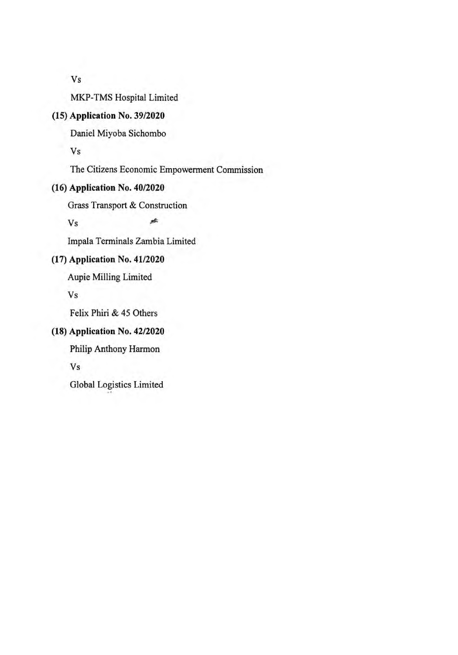Vs

MKP-TMS Hospital Limited

## (15) Application No. 39/2020

Daniel Miyoba Sichombo

Vs

The Citizens Economic Empowerment Commission

sh.

#### (16) Application No. 40/2020

Grass Transport & Construction

Vs

Impala Terminals Zambia Limited

## (17) Application No. 41/2020

Aupie Milling Limited

Vs

Felix Phiri & 45 Others

## (18) Application No. 42/2020

Philip Anthony Harmon

Vs

Global Logistics Limited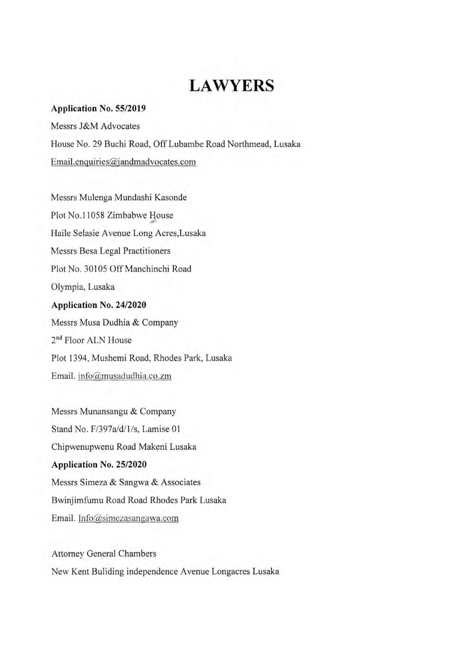## **LAWYERS**

#### **Application** No. *55/2019*

Messrs J&M Advocates House No. 29 Buchi Road, Off Lubambe Road Northmead, Lusaka Email.enquiries@jandmadvocates.com

Messrs Mulenga Mundashi Kasonde Plot No.11058 Zimbabwe House Haile Selasie Avenue Long Acres,Lusaka Messrs Besa Legal Practitioners Plot No. 30105 Off Manchinchi Road Olympia. Lusaka **Application** No. 24/2020 Messrs Musa Dudhia & Company 2<sup>nd</sup> Floor ALN House Plot 1394, Mushemi Road, Rhodes Park, Lusaka

Email. info@musadudhia.co.zm

Messrs Munansangu & Company Stand No. F/397a/d/1/s, Lamise 01 Chipvenupwenu Road Makeni Lusaka Application No. 25/2020 Messrs Simeza & Sangwa & Associates Bwinjimfumu Road Road Rhodes Park Lusaka Email. Info@simezasangawa.com

Attorney General Chambers New Kent Buliding independence Avenue Longacres Lusaka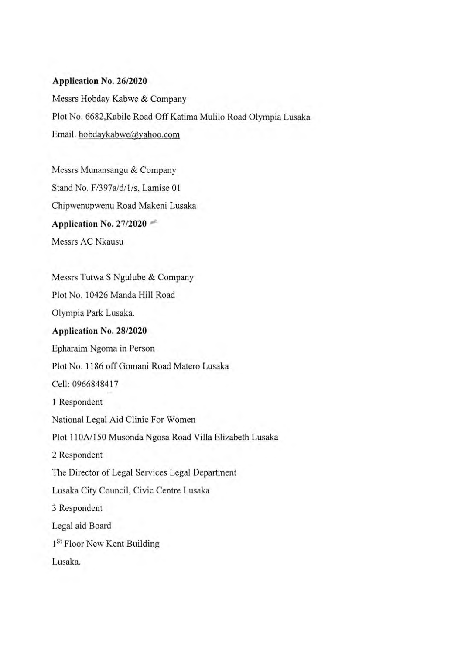#### **Application No. 26/2020**

Messrs Hobday Kabwe & Company Plot No. 6682,Kabile Road Off Katima Mulilo Road Olympia Lusaka Email. hobdaykabwe@yahoo.com

Messrs Munansangu & Company Stand No. F/397a/d/1/s, Lamise 01 Chipwenupwenu Road Makeni Lusaka Application No. 27/2020 Messrs AC Nkausu

Messrs Tutwa S Ngulube & Company Plot No. 10426 Manda Hill Road Olympia Park Lusaka. Application No. 28/2020 Epharaim Ngoma in Person Plot No. 1186 off Gomani Road Matero Lusaka Cell: 0966848417 1 Respondent National Legal Aid Clinic For Women Plot 110A/150 Musonda Ngosa Road Villa Elizabeth Lusaka 2 Respondent The Director of Legal Services Legal Department Lusaka City Council, Civic Centre Lusaka 3 Respondent Legal aid Board 1<sup>St</sup> Floor New Kent Building Lusaka.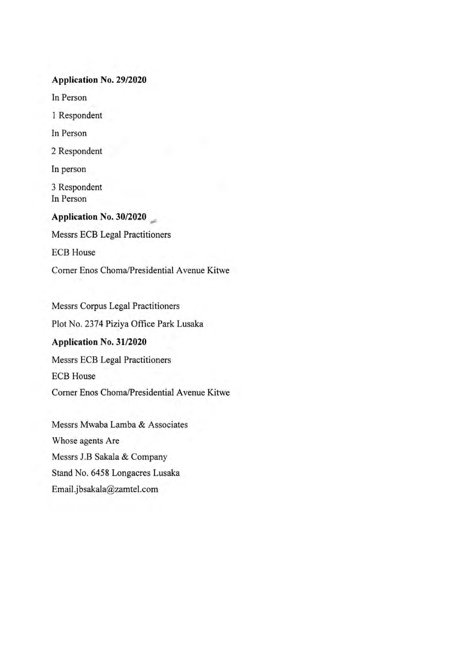#### Application No. 29/2020

In Person

1 Respondent

In Person

2 Respondent

In person

3 Respondent In Person

Application No. 30/2020 Messrs ECB Legal Practitioners ECB House Corner Enos Choma/Presidential Avenue Kitwe

Messrs Corpus Legal Practitioners Plot No. 2374 Piziya Office Park Lusaka **Application No. 31/2020**  Messrs ECB Legal Practitioners ECB House Corner Enos Choma/Presidential Avenue Kitwe

Messrs Mwaba Lamba & Associates Whose agents Are Messrs J.B Sakala & Company Stand No. *6458* Longacres Lusaka Emai1.jbsakalazamte1.com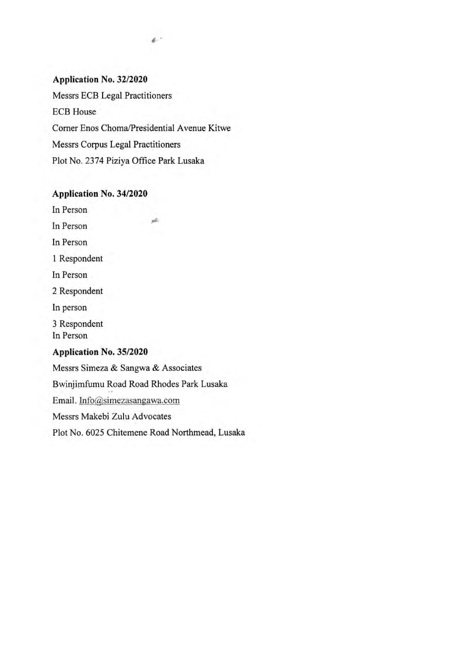#### **Application No. 32/2020**

Messrs ECB Legal Practitioners ECB House Corner Enos Choma/Presidential Avenue Kitwe Messrs Corpus Legal Practitioners Plot No. 2374 Piziya Office Park Lusaka

jb.

منهن

#### **Application No. 34/2020**

In Person

In Person

In Person

1 Respondent

In Person

2 Respondent

In person

3 Respondent In Person

#### **Application** No. 35/2020

Messrs Simeza & Sangwa & Associates Bwinjimfumu Road Road Rhodes Park Lusaka Email. Info@simezasangawa.com Messrs Makebi Zulu Advocates Plot No. *6025* Chitemene Road Northmead, Lusaka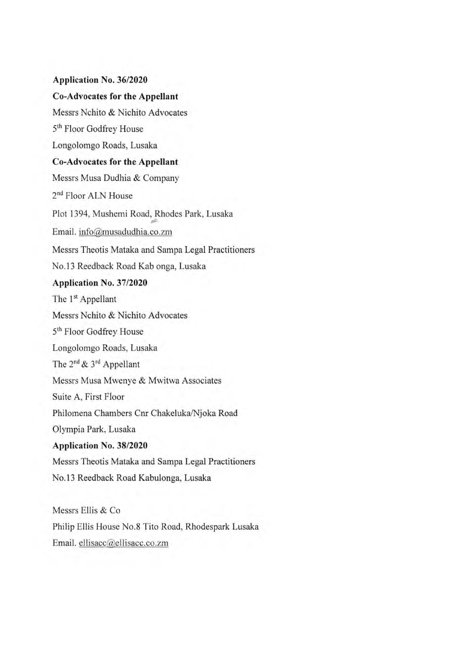**Application No. 36/2020 Co-Advocates for the Appellant**  Messrs Nchito & Nichito Advocates 5th Floor Godfrey House Longolomgo Roads, Lusaka **Co-Advocates for the Appellant**  Messrs Musa Dudhia & Company 2<sup>nd</sup> Floor ALN House Plot 1394, Mushemi Road, Rhodes Park, Lusaka Email. info@musadudhia.co.zm Messrs Theotis Mataka and Sampa Legal Practitioners No. 13 Reedback Road Kab onga, Lusaka Application No. 37/2020 The 1<sup>st</sup> Appellant Messrs Nchito & Nichito Advocates 5<sup>th</sup> Floor Godfrey House Longolomgo Roads, Lusaka The 2nd **&** 3rd Appellant Messrs Musa Mwenye & Mwitwa Associates Suite A, First Floor Philomena Chambers Cnr Chakeluka/Njoka Road Olympia Park, Lusaka Application No. 38/2020 Messrs Theotis Mataka and Sampa Legal Practitioners No. 13 Reedback Road Kabulonga, Lusaka

Messrs Ellis & Co Philip Ellis House No.8 Tito Road, Rhodespark Lusaka Email. ellisacc@ellisacc.co.zm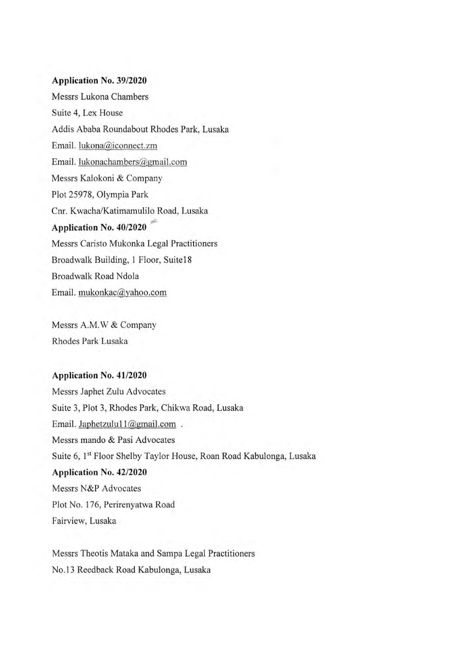#### **Application** No. 39/2020

Messrs Lukona Chambers Suite 4, Lex House Addis Ababa Roundabout Rhodes Park, Lusaka Email. lukona@iconnect.zm Email. lukonachambers@gmail.com Messrs Kalokoni & Company Plot 25978. Olympia Park Cnr. Kwacha/Katimamulilo Road, Lusaka Application No. 40/2020 Messrs Caristo Mukonka Legal Practitioners Broadwalk Building, 1 Floor, Suite18 Broadwalk Road Ndola Email. mukonkac@yahoo.com

Messrs A.M.W & Company Rhodes Park Lusaka

#### Application No. 41/2020

Messrs Japhet Zulu Advocates Suite 3, Plot 3. Rhodes Park, Chikwa Road, Lusaka Email. Japhetzulu11@gmail.com. Messrs mando & Pasi Advocates Suite 6, **<sup>1</sup> "** Floor Shelby Taylor House, Roan Road Kabulonga, Lusaka Application No. 42/2020 Messrs N&P Advocates Plot No. 176. Perirenyatwa Road Fairview. Lusaka

Messrs Theotis Mataka and Sampa Legal Practitioners No. 13 Recdback Road Kabulonga, Lusaka